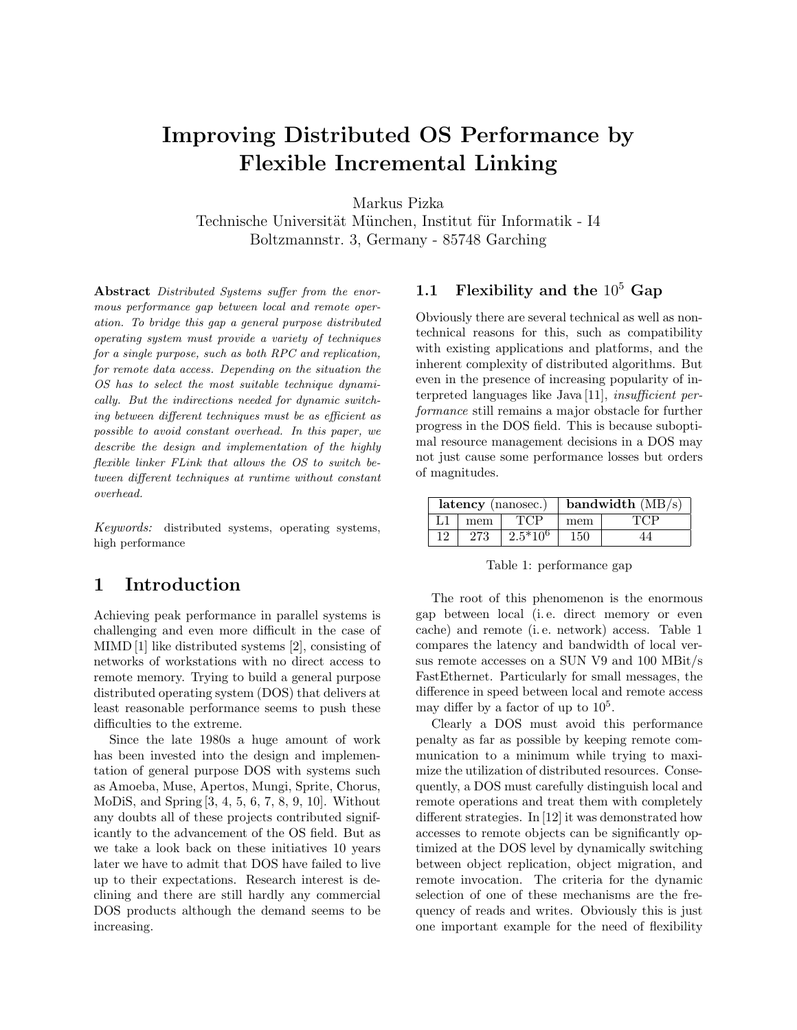# Improving Distributed OS Performance by Flexible Incremental Linking

Markus Pizka

Technische Universität München, Institut für Informatik - I4 Boltzmannstr. 3, Germany - 85748 Garching

Abstract Distributed Systems suffer from the enormous performance gap between local and remote operation. To bridge this gap a general purpose distributed operating system must provide a variety of techniques for a single purpose, such as both RPC and replication, for remote data access. Depending on the situation the OS has to select the most suitable technique dynamically. But the indirections needed for dynamic switching between different techniques must be as efficient as possible to avoid constant overhead. In this paper, we describe the design and implementation of the highly flexible linker FLink that allows the OS to switch between different techniques at runtime without constant overhead.

Keywords: distributed systems, operating systems, high performance

# 1 Introduction

Achieving peak performance in parallel systems is challenging and even more difficult in the case of MIMD [1] like distributed systems [2], consisting of networks of workstations with no direct access to remote memory. Trying to build a general purpose distributed operating system (DOS) that delivers at least reasonable performance seems to push these difficulties to the extreme.

Since the late 1980s a huge amount of work has been invested into the design and implementation of general purpose DOS with systems such as Amoeba, Muse, Apertos, Mungi, Sprite, Chorus, MoDiS, and Spring [3, 4, 5, 6, 7, 8, 9, 10]. Without any doubts all of these projects contributed significantly to the advancement of the OS field. But as we take a look back on these initiatives 10 years later we have to admit that DOS have failed to live up to their expectations. Research interest is declining and there are still hardly any commercial DOS products although the demand seems to be increasing.

# 1.1 Flexibility and the  $10^5$  Gap

Obviously there are several technical as well as nontechnical reasons for this, such as compatibility with existing applications and platforms, and the inherent complexity of distributed algorithms. But even in the presence of increasing popularity of interpreted languages like Java [11], insufficient performance still remains a major obstacle for further progress in the DOS field. This is because suboptimal resource management decisions in a DOS may not just cause some performance losses but orders of magnitudes.

|    |     | latency (nanosec.) | bandwidth $(MB/s)$ |  |  |
|----|-----|--------------------|--------------------|--|--|
|    | mem |                    | mem                |  |  |
| 12 |     | $-2.5*10^6$        | 150                |  |  |

Table 1: performance gap

The root of this phenomenon is the enormous gap between local (i. e. direct memory or even cache) and remote (i. e. network) access. Table 1 compares the latency and bandwidth of local versus remote accesses on a SUN V9 and 100 MBit/s FastEthernet. Particularly for small messages, the difference in speed between local and remote access may differ by a factor of up to  $10<sup>5</sup>$ .

Clearly a DOS must avoid this performance penalty as far as possible by keeping remote communication to a minimum while trying to maximize the utilization of distributed resources. Consequently, a DOS must carefully distinguish local and remote operations and treat them with completely different strategies. In [12] it was demonstrated how accesses to remote objects can be significantly optimized at the DOS level by dynamically switching between object replication, object migration, and remote invocation. The criteria for the dynamic selection of one of these mechanisms are the frequency of reads and writes. Obviously this is just one important example for the need of flexibility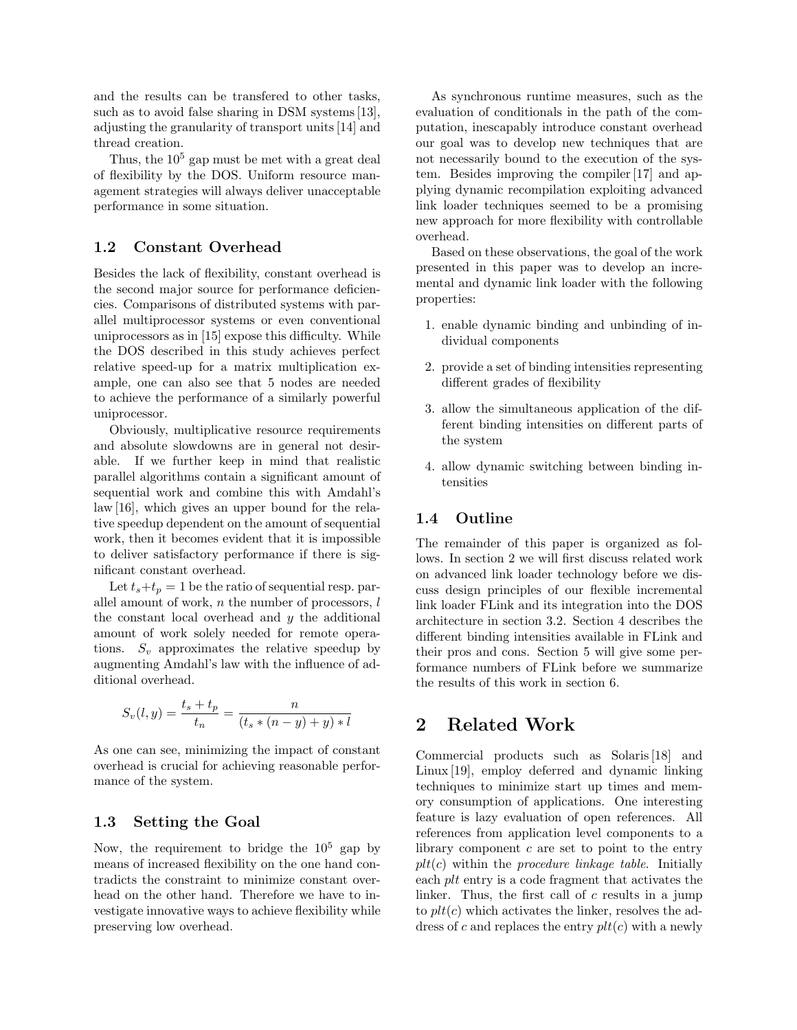and the results can be transfered to other tasks, such as to avoid false sharing in DSM systems [13], adjusting the granularity of transport units [14] and thread creation.

Thus, the  $10<sup>5</sup>$  gap must be met with a great deal of flexibility by the DOS. Uniform resource management strategies will always deliver unacceptable performance in some situation.

### 1.2 Constant Overhead

Besides the lack of flexibility, constant overhead is the second major source for performance deficiencies. Comparisons of distributed systems with parallel multiprocessor systems or even conventional uniprocessors as in [15] expose this difficulty. While the DOS described in this study achieves perfect relative speed-up for a matrix multiplication example, one can also see that 5 nodes are needed to achieve the performance of a similarly powerful uniprocessor.

Obviously, multiplicative resource requirements and absolute slowdowns are in general not desirable. If we further keep in mind that realistic parallel algorithms contain a significant amount of sequential work and combine this with Amdahl's law [16], which gives an upper bound for the relative speedup dependent on the amount of sequential work, then it becomes evident that it is impossible to deliver satisfactory performance if there is significant constant overhead.

Let  $t_s+t_p = 1$  be the ratio of sequential resp. parallel amount of work,  $n$  the number of processors,  $l$ the constant local overhead and  $y$  the additional amount of work solely needed for remote operations.  $S_v$  approximates the relative speedup by augmenting Amdahl's law with the influence of additional overhead.

$$
S_v(l, y) = \frac{t_s + t_p}{t_n} = \frac{n}{(t_s * (n - y) + y) * l}
$$

As one can see, minimizing the impact of constant overhead is crucial for achieving reasonable performance of the system.

### 1.3 Setting the Goal

Now, the requirement to bridge the  $10^5$  gap by means of increased flexibility on the one hand contradicts the constraint to minimize constant overhead on the other hand. Therefore we have to investigate innovative ways to achieve flexibility while preserving low overhead.

As synchronous runtime measures, such as the evaluation of conditionals in the path of the computation, inescapably introduce constant overhead our goal was to develop new techniques that are not necessarily bound to the execution of the system. Besides improving the compiler [17] and applying dynamic recompilation exploiting advanced link loader techniques seemed to be a promising new approach for more flexibility with controllable overhead.

Based on these observations, the goal of the work presented in this paper was to develop an incremental and dynamic link loader with the following properties:

- 1. enable dynamic binding and unbinding of individual components
- 2. provide a set of binding intensities representing different grades of flexibility
- 3. allow the simultaneous application of the different binding intensities on different parts of the system
- 4. allow dynamic switching between binding intensities

### 1.4 Outline

The remainder of this paper is organized as follows. In section 2 we will first discuss related work on advanced link loader technology before we discuss design principles of our flexible incremental link loader FLink and its integration into the DOS architecture in section 3.2. Section 4 describes the different binding intensities available in FLink and their pros and cons. Section 5 will give some performance numbers of FLink before we summarize the results of this work in section 6.

# 2 Related Work

Commercial products such as Solaris [18] and Linux [19], employ deferred and dynamic linking techniques to minimize start up times and memory consumption of applications. One interesting feature is lazy evaluation of open references. All references from application level components to a library component  $c$  are set to point to the entry  $plt(c)$  within the *procedure linkage table*. Initially each plt entry is a code fragment that activates the linker. Thus, the first call of c results in a jump to  $plt(c)$  which activates the linker, resolves the address of c and replaces the entry  $plt(c)$  with a newly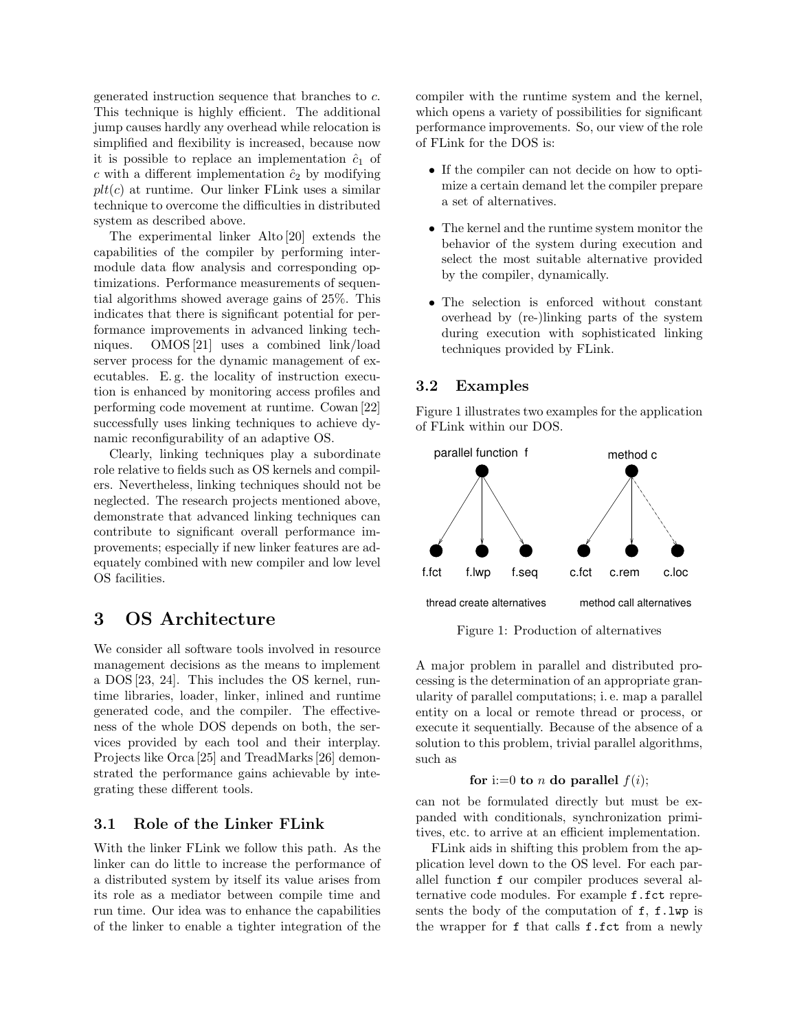generated instruction sequence that branches to c. This technique is highly efficient. The additional jump causes hardly any overhead while relocation is simplified and flexibility is increased, because now it is possible to replace an implementation  $\hat{c}_1$  of c with a different implementation  $\hat{c}_2$  by modifying  $plt(c)$  at runtime. Our linker FLink uses a similar technique to overcome the difficulties in distributed system as described above.

The experimental linker Alto [20] extends the capabilities of the compiler by performing intermodule data flow analysis and corresponding optimizations. Performance measurements of sequential algorithms showed average gains of 25%. This indicates that there is significant potential for performance improvements in advanced linking techniques. OMOS [21] uses a combined link/load server process for the dynamic management of executables. E. g. the locality of instruction execution is enhanced by monitoring access profiles and performing code movement at runtime. Cowan [22] successfully uses linking techniques to achieve dynamic reconfigurability of an adaptive OS.

Clearly, linking techniques play a subordinate role relative to fields such as OS kernels and compilers. Nevertheless, linking techniques should not be neglected. The research projects mentioned above, demonstrate that advanced linking techniques can contribute to significant overall performance improvements; especially if new linker features are adequately combined with new compiler and low level OS facilities.

# 3 OS Architecture

We consider all software tools involved in resource management decisions as the means to implement a DOS [23, 24]. This includes the OS kernel, runtime libraries, loader, linker, inlined and runtime generated code, and the compiler. The effectiveness of the whole DOS depends on both, the services provided by each tool and their interplay. Projects like Orca [25] and TreadMarks [26] demonstrated the performance gains achievable by integrating these different tools.

### 3.1 Role of the Linker FLink

With the linker FLink we follow this path. As the linker can do little to increase the performance of a distributed system by itself its value arises from its role as a mediator between compile time and run time. Our idea was to enhance the capabilities of the linker to enable a tighter integration of the compiler with the runtime system and the kernel, which opens a variety of possibilities for significant performance improvements. So, our view of the role of FLink for the DOS is:

- If the compiler can not decide on how to optimize a certain demand let the compiler prepare a set of alternatives.
- The kernel and the runtime system monitor the behavior of the system during execution and select the most suitable alternative provided by the compiler, dynamically.
- The selection is enforced without constant overhead by (re-)linking parts of the system during execution with sophisticated linking techniques provided by FLink.

## 3.2 Examples

Figure 1 illustrates two examples for the application of FLink within our DOS.



Figure 1: Production of alternatives

A major problem in parallel and distributed processing is the determination of an appropriate granularity of parallel computations; i. e. map a parallel entity on a local or remote thread or process, or execute it sequentially. Because of the absence of a solution to this problem, trivial parallel algorithms, such as

#### for i:=0 to *n* do parallel  $f(i)$ ;

can not be formulated directly but must be expanded with conditionals, synchronization primitives, etc. to arrive at an efficient implementation.

FLink aids in shifting this problem from the application level down to the OS level. For each parallel function f our compiler produces several alternative code modules. For example f.fct represents the body of the computation of f, f.lwp is the wrapper for f that calls f.fct from a newly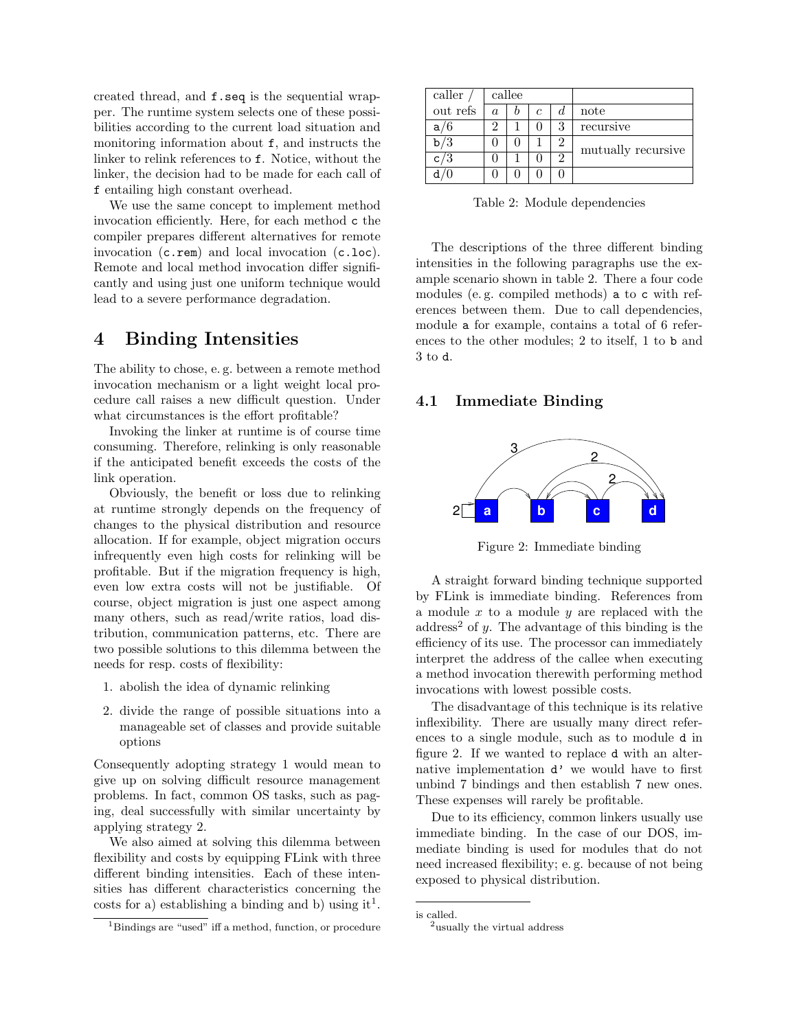created thread, and f.seq is the sequential wrapper. The runtime system selects one of these possibilities according to the current load situation and monitoring information about f, and instructs the linker to relink references to f. Notice, without the linker, the decision had to be made for each call of f entailing high constant overhead.

We use the same concept to implement method invocation efficiently. Here, for each method c the compiler prepares different alternatives for remote invocation (c.rem) and local invocation (c.loc). Remote and local method invocation differ significantly and using just one uniform technique would lead to a severe performance degradation.

# 4 Binding Intensities

The ability to chose, e. g. between a remote method invocation mechanism or a light weight local procedure call raises a new difficult question. Under what circumstances is the effort profitable?

Invoking the linker at runtime is of course time consuming. Therefore, relinking is only reasonable if the anticipated benefit exceeds the costs of the link operation.

Obviously, the benefit or loss due to relinking at runtime strongly depends on the frequency of changes to the physical distribution and resource allocation. If for example, object migration occurs infrequently even high costs for relinking will be profitable. But if the migration frequency is high, even low extra costs will not be justifiable. Of course, object migration is just one aspect among many others, such as read/write ratios, load distribution, communication patterns, etc. There are two possible solutions to this dilemma between the needs for resp. costs of flexibility:

- 1. abolish the idea of dynamic relinking
- 2. divide the range of possible situations into a manageable set of classes and provide suitable options

Consequently adopting strategy 1 would mean to give up on solving difficult resource management problems. In fact, common OS tasks, such as paging, deal successfully with similar uncertainty by applying strategy 2.

We also aimed at solving this dilemma between flexibility and costs by equipping FLink with three different binding intensities. Each of these intensities has different characteristics concerning the costs for a) establishing a binding and b) using it<sup>1</sup>.

| caller   | callee |  |   |                |                    |  |
|----------|--------|--|---|----------------|--------------------|--|
| out refs | a.     |  | с | đ.             | note               |  |
| a/6      | 9      |  |   | 3              | recursive          |  |
| /3       |        |  |   | 2              | mutually recursive |  |
| c/3      |        |  |   | $\mathfrak{D}$ |                    |  |
|          |        |  |   |                |                    |  |

Table 2: Module dependencies

The descriptions of the three different binding intensities in the following paragraphs use the example scenario shown in table 2. There a four code modules (e. g. compiled methods) a to c with references between them. Due to call dependencies, module a for example, contains a total of 6 references to the other modules; 2 to itself, 1 to b and 3 to d.

### 4.1 Immediate Binding



Figure 2: Immediate binding

A straight forward binding technique supported by FLink is immediate binding. References from a module  $x$  to a module  $y$  are replaced with the address<sup>2</sup> of y. The advantage of this binding is the efficiency of its use. The processor can immediately interpret the address of the callee when executing a method invocation therewith performing method invocations with lowest possible costs.

The disadvantage of this technique is its relative inflexibility. There are usually many direct references to a single module, such as to module d in figure 2. If we wanted to replace d with an alternative implementation d' we would have to first unbind 7 bindings and then establish 7 new ones. These expenses will rarely be profitable.

Due to its efficiency, common linkers usually use immediate binding. In the case of our DOS, immediate binding is used for modules that do not need increased flexibility; e. g. because of not being exposed to physical distribution.

<sup>1</sup>Bindings are "used" iff a method, function, or procedure

is called.

<sup>&</sup>lt;sup>2</sup>usually the virtual address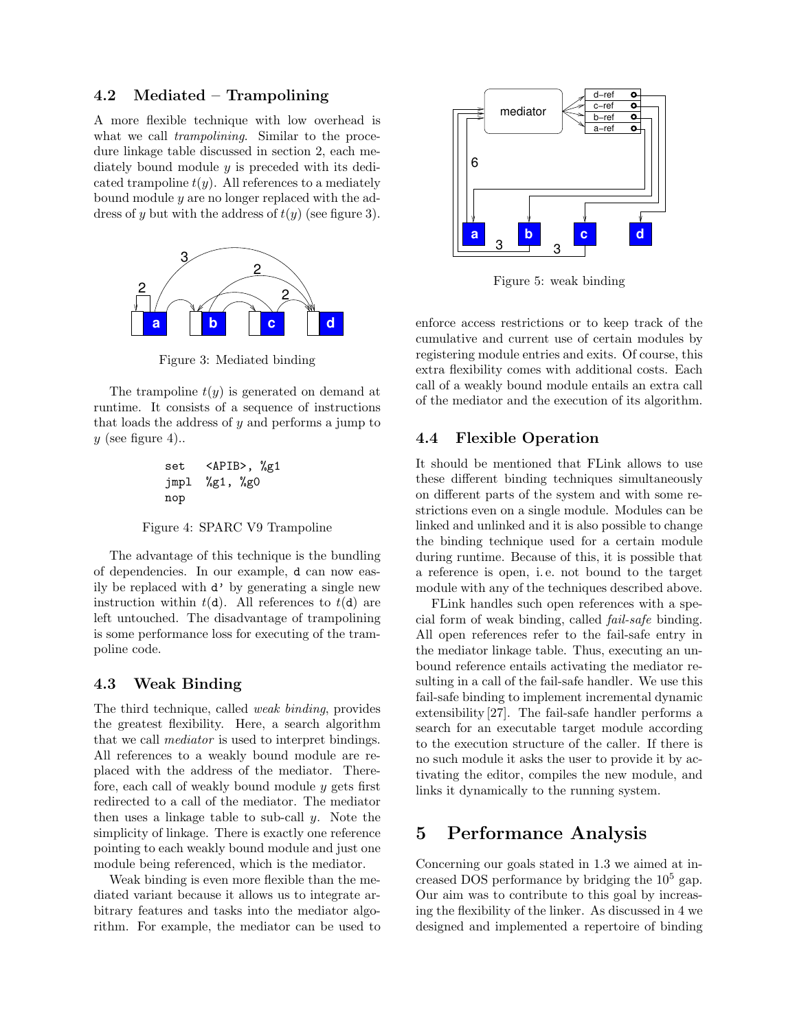### 4.2 Mediated – Trampolining

A more flexible technique with low overhead is what we call *trampolining*. Similar to the procedure linkage table discussed in section 2, each mediately bound module y is preceded with its dedicated trampoline  $t(y)$ . All references to a mediately bound module y are no longer replaced with the address of y but with the address of  $t(y)$  (see figure 3).



Figure 3: Mediated binding

The trampoline  $t(y)$  is generated on demand at runtime. It consists of a sequence of instructions that loads the address of  $y$  and performs a jump to y (see figure 4)..

set <APIB>, %g1 jmpl %g1, %g0 nop

Figure 4: SPARC V9 Trampoline

The advantage of this technique is the bundling of dependencies. In our example, d can now easily be replaced with d' by generating a single new instruction within  $t(d)$ . All references to  $t(d)$  are left untouched. The disadvantage of trampolining is some performance loss for executing of the trampoline code.

### 4.3 Weak Binding

The third technique, called weak binding, provides the greatest flexibility. Here, a search algorithm that we call mediator is used to interpret bindings. All references to a weakly bound module are replaced with the address of the mediator. Therefore, each call of weakly bound module  $y$  gets first redirected to a call of the mediator. The mediator then uses a linkage table to sub-call  $y$ . Note the simplicity of linkage. There is exactly one reference pointing to each weakly bound module and just one module being referenced, which is the mediator.

Weak binding is even more flexible than the mediated variant because it allows us to integrate arbitrary features and tasks into the mediator algorithm. For example, the mediator can be used to



Figure 5: weak binding

enforce access restrictions or to keep track of the cumulative and current use of certain modules by registering module entries and exits. Of course, this extra flexibility comes with additional costs. Each call of a weakly bound module entails an extra call of the mediator and the execution of its algorithm.

## 4.4 Flexible Operation

It should be mentioned that FLink allows to use these different binding techniques simultaneously on different parts of the system and with some restrictions even on a single module. Modules can be linked and unlinked and it is also possible to change the binding technique used for a certain module during runtime. Because of this, it is possible that a reference is open, i. e. not bound to the target module with any of the techniques described above.

FLink handles such open references with a special form of weak binding, called fail-safe binding. All open references refer to the fail-safe entry in the mediator linkage table. Thus, executing an unbound reference entails activating the mediator resulting in a call of the fail-safe handler. We use this fail-safe binding to implement incremental dynamic extensibility [27]. The fail-safe handler performs a search for an executable target module according to the execution structure of the caller. If there is no such module it asks the user to provide it by activating the editor, compiles the new module, and links it dynamically to the running system.

# 5 Performance Analysis

Concerning our goals stated in 1.3 we aimed at increased DOS performance by bridging the  $10<sup>5</sup>$  gap. Our aim was to contribute to this goal by increasing the flexibility of the linker. As discussed in 4 we designed and implemented a repertoire of binding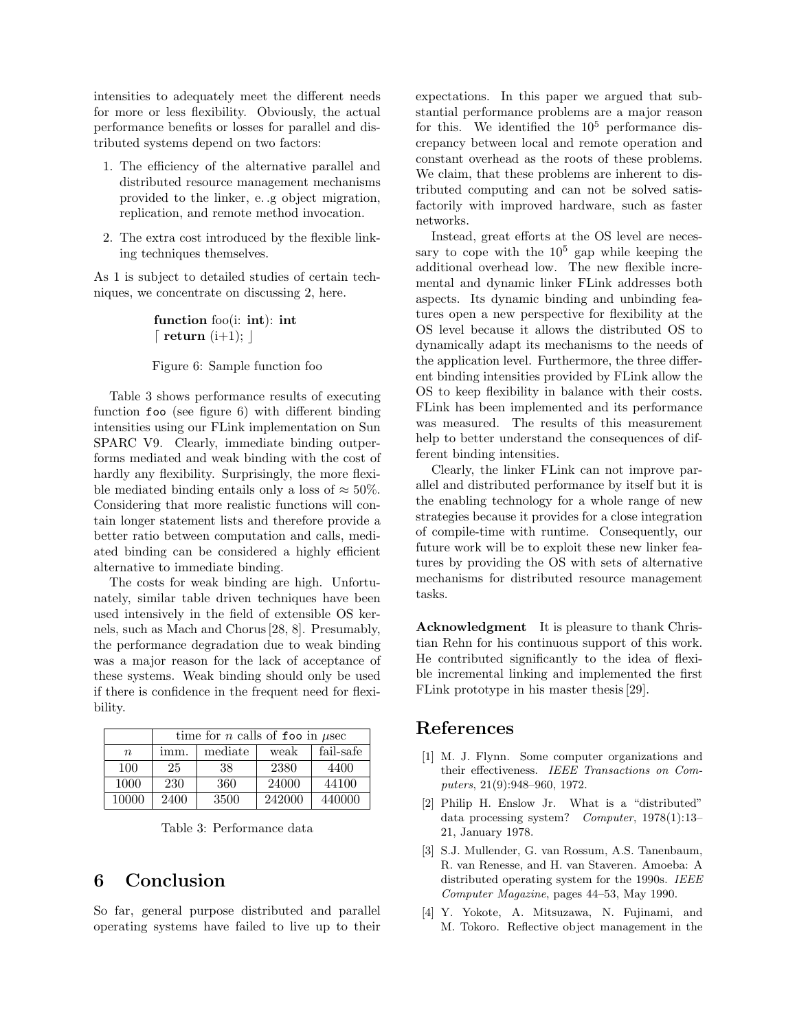intensities to adequately meet the different needs for more or less flexibility. Obviously, the actual performance benefits or losses for parallel and distributed systems depend on two factors:

- 1. The efficiency of the alternative parallel and distributed resource management mechanisms provided to the linker, e. .g object migration, replication, and remote method invocation.
- 2. The extra cost introduced by the flexible linking techniques themselves.

As 1 is subject to detailed studies of certain techniques, we concentrate on discussing 2, here.

> function foo(i: int): int  $\lceil$  return  $(i+1);$

Figure 6: Sample function foo

Table 3 shows performance results of executing function foo (see figure 6) with different binding intensities using our FLink implementation on Sun SPARC V9. Clearly, immediate binding outperforms mediated and weak binding with the cost of hardly any flexibility. Surprisingly, the more flexible mediated binding entails only a loss of  $\approx 50\%$ . Considering that more realistic functions will contain longer statement lists and therefore provide a better ratio between computation and calls, mediated binding can be considered a highly efficient alternative to immediate binding.

The costs for weak binding are high. Unfortunately, similar table driven techniques have been used intensively in the field of extensible OS kernels, such as Mach and Chorus [28, 8]. Presumably, the performance degradation due to weak binding was a major reason for the lack of acceptance of these systems. Weak binding should only be used if there is confidence in the frequent need for flexibility.

|                  | time for <i>n</i> calls of <b>foo</b> in $\mu$ sec |         |        |           |  |  |  |  |
|------------------|----------------------------------------------------|---------|--------|-----------|--|--|--|--|
| $\boldsymbol{n}$ | imm.                                               | mediate | weak   | fail-safe |  |  |  |  |
| 100              | 25                                                 | 38      | 2380   | 4400      |  |  |  |  |
| 1000             | 230                                                | 360     | 24000  | 44100     |  |  |  |  |
| 10000            | 2400                                               | 3500    | 242000 | 440000    |  |  |  |  |

Table 3: Performance data

# 6 Conclusion

So far, general purpose distributed and parallel operating systems have failed to live up to their expectations. In this paper we argued that substantial performance problems are a major reason for this. We identified the  $10^5$  performance discrepancy between local and remote operation and constant overhead as the roots of these problems. We claim, that these problems are inherent to distributed computing and can not be solved satisfactorily with improved hardware, such as faster networks.

Instead, great efforts at the OS level are necessary to cope with the  $10^5$  gap while keeping the additional overhead low. The new flexible incremental and dynamic linker FLink addresses both aspects. Its dynamic binding and unbinding features open a new perspective for flexibility at the OS level because it allows the distributed OS to dynamically adapt its mechanisms to the needs of the application level. Furthermore, the three different binding intensities provided by FLink allow the OS to keep flexibility in balance with their costs. FLink has been implemented and its performance was measured. The results of this measurement help to better understand the consequences of different binding intensities.

Clearly, the linker FLink can not improve parallel and distributed performance by itself but it is the enabling technology for a whole range of new strategies because it provides for a close integration of compile-time with runtime. Consequently, our future work will be to exploit these new linker features by providing the OS with sets of alternative mechanisms for distributed resource management tasks.

Acknowledgment It is pleasure to thank Christian Rehn for his continuous support of this work. He contributed significantly to the idea of flexible incremental linking and implemented the first FLink prototype in his master thesis [29].

# References

- [1] M. J. Flynn. Some computer organizations and their effectiveness. IEEE Transactions on Computers, 21(9):948–960, 1972.
- [2] Philip H. Enslow Jr. What is a "distributed" data processing system? Computer, 1978(1):13– 21, January 1978.
- [3] S.J. Mullender, G. van Rossum, A.S. Tanenbaum, R. van Renesse, and H. van Staveren. Amoeba: A distributed operating system for the 1990s. IEEE Computer Magazine, pages 44–53, May 1990.
- [4] Y. Yokote, A. Mitsuzawa, N. Fujinami, and M. Tokoro. Reflective object management in the